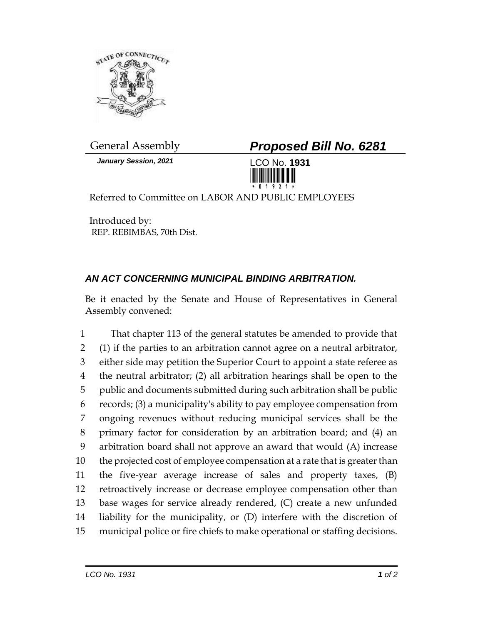

*January Session, 2021* LCO No. **1931**

General Assembly *Proposed Bill No. 6281*



Referred to Committee on LABOR AND PUBLIC EMPLOYEES

Introduced by: REP. REBIMBAS, 70th Dist.

## *AN ACT CONCERNING MUNICIPAL BINDING ARBITRATION.*

Be it enacted by the Senate and House of Representatives in General Assembly convened:

 That chapter 113 of the general statutes be amended to provide that (1) if the parties to an arbitration cannot agree on a neutral arbitrator, either side may petition the Superior Court to appoint a state referee as the neutral arbitrator; (2) all arbitration hearings shall be open to the public and documents submitted during such arbitration shall be public records; (3) a municipality's ability to pay employee compensation from ongoing revenues without reducing municipal services shall be the primary factor for consideration by an arbitration board; and (4) an arbitration board shall not approve an award that would (A) increase the projected cost of employee compensation at a rate that is greater than the five-year average increase of sales and property taxes, (B) retroactively increase or decrease employee compensation other than base wages for service already rendered, (C) create a new unfunded liability for the municipality, or (D) interfere with the discretion of municipal police or fire chiefs to make operational or staffing decisions.